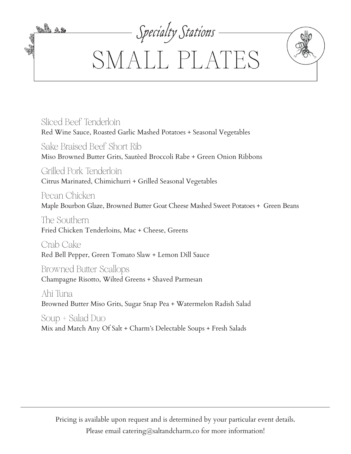

Sliced Beef Tenderloin Red Wine Sauce, Roasted Garlic Mashed Potatoes + Seasonal Vegetables

Sake Braised Beef Short Rib Miso Browned Butter Grits, Sautèed Broccoli Rabe + Green Onion Ribbons

Grilled Pork Tenderloin Citrus Marinated, Chimichurri + Grilled Seasonal Vegetables

Pecan Chicken Maple Bourbon Glaze, Browned Butter Goat Cheese Mashed Sweet Potatoes + Green Beans

The Southern Fried Chicken Tenderloins, Mac + Cheese, Greens

Crab Cake Red Bell Pepper, Green Tomato Slaw + Lemon Dill Sauce

Browned Butter Scallops Champagne Risotto, Wilted Greens + Shaved Parmesan

Ahi Tuna Browned Butter Miso Grits, Sugar Snap Pea + Watermelon Radish Salad

Soup + Salad Duo Mix and Match Any Of Salt + Charm's Delectable Soups + Fresh Salads